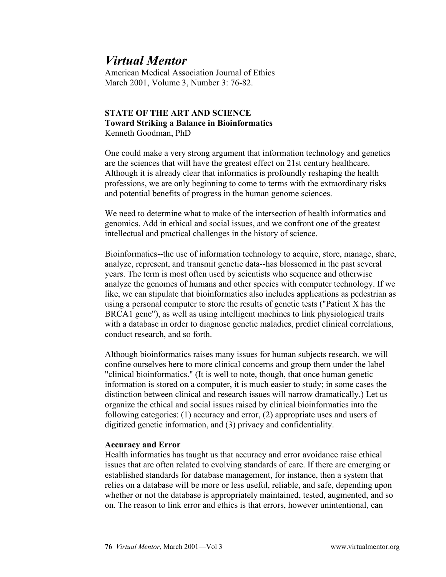# *Virtual Mentor*

American Medical Association Journal of Ethics March 2001, Volume 3, Number 3: 76-82.

## **STATE OF THE ART AND SCIENCE Toward Striking a Balance in Bioinformatics** Kenneth Goodman, PhD

One could make a very strong argument that information technology and genetics are the sciences that will have the greatest effect on 21st century healthcare. Although it is already clear that informatics is profoundly reshaping the health professions, we are only beginning to come to terms with the extraordinary risks and potential benefits of progress in the human genome sciences.

We need to determine what to make of the intersection of health informatics and genomics. Add in ethical and social issues, and we confront one of the greatest intellectual and practical challenges in the history of science.

Bioinformatics--the use of information technology to acquire, store, manage, share, analyze, represent, and transmit genetic data--has blossomed in the past several years. The term is most often used by scientists who sequence and otherwise analyze the genomes of humans and other species with computer technology. If we like, we can stipulate that bioinformatics also includes applications as pedestrian as using a personal computer to store the results of genetic tests ("Patient X has the BRCA1 gene"), as well as using intelligent machines to link physiological traits with a database in order to diagnose genetic maladies, predict clinical correlations, conduct research, and so forth.

Although bioinformatics raises many issues for human subjects research, we will confine ourselves here to more clinical concerns and group them under the label "clinical bioinformatics." (It is well to note, though, that once human genetic information is stored on a computer, it is much easier to study; in some cases the distinction between clinical and research issues will narrow dramatically.) Let us organize the ethical and social issues raised by clinical bioinformatics into the following categories: (1) accuracy and error, (2) appropriate uses and users of digitized genetic information, and (3) privacy and confidentiality.

## **Accuracy and Error**

Health informatics has taught us that accuracy and error avoidance raise ethical issues that are often related to evolving standards of care. If there are emerging or established standards for database management, for instance, then a system that relies on a database will be more or less useful, reliable, and safe, depending upon whether or not the database is appropriately maintained, tested, augmented, and so on. The reason to link error and ethics is that errors, however unintentional, can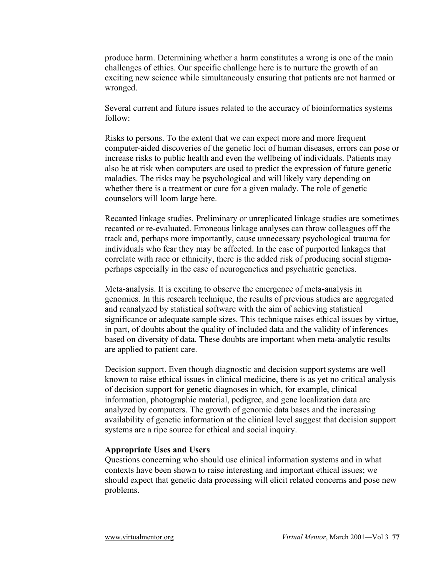produce harm. Determining whether a harm constitutes a wrong is one of the main challenges of ethics. Our specific challenge here is to nurture the growth of an exciting new science while simultaneously ensuring that patients are not harmed or wronged.

Several current and future issues related to the accuracy of bioinformatics systems follow:

Risks to persons. To the extent that we can expect more and more frequent computer-aided discoveries of the genetic loci of human diseases, errors can pose or increase risks to public health and even the wellbeing of individuals. Patients may also be at risk when computers are used to predict the expression of future genetic maladies. The risks may be psychological and will likely vary depending on whether there is a treatment or cure for a given malady. The role of genetic counselors will loom large here.

Recanted linkage studies. Preliminary or unreplicated linkage studies are sometimes recanted or re-evaluated. Erroneous linkage analyses can throw colleagues off the track and, perhaps more importantly, cause unnecessary psychological trauma for individuals who fear they may be affected. In the case of purported linkages that correlate with race or ethnicity, there is the added risk of producing social stigmaperhaps especially in the case of neurogenetics and psychiatric genetics.

Meta-analysis. It is exciting to observe the emergence of meta-analysis in genomics. In this research technique, the results of previous studies are aggregated and reanalyzed by statistical software with the aim of achieving statistical significance or adequate sample sizes. This technique raises ethical issues by virtue, in part, of doubts about the quality of included data and the validity of inferences based on diversity of data. These doubts are important when meta-analytic results are applied to patient care.

Decision support. Even though diagnostic and decision support systems are well known to raise ethical issues in clinical medicine, there is as yet no critical analysis of decision support for genetic diagnoses in which, for example, clinical information, photographic material, pedigree, and gene localization data are analyzed by computers. The growth of genomic data bases and the increasing availability of genetic information at the clinical level suggest that decision support systems are a ripe source for ethical and social inquiry.

#### **Appropriate Uses and Users**

Questions concerning who should use clinical information systems and in what contexts have been shown to raise interesting and important ethical issues; we should expect that genetic data processing will elicit related concerns and pose new problems.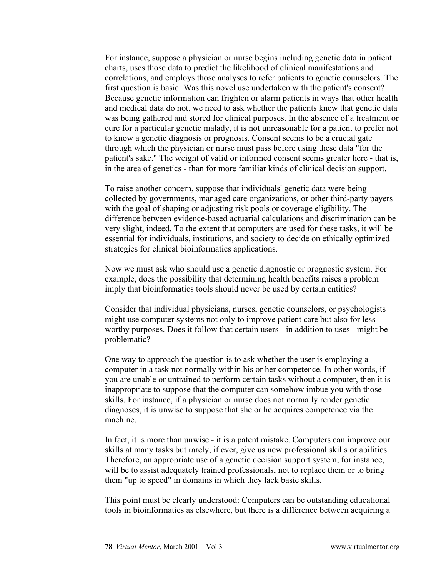For instance, suppose a physician or nurse begins including genetic data in patient charts, uses those data to predict the likelihood of clinical manifestations and correlations, and employs those analyses to refer patients to genetic counselors. The first question is basic: Was this novel use undertaken with the patient's consent? Because genetic information can frighten or alarm patients in ways that other health and medical data do not, we need to ask whether the patients knew that genetic data was being gathered and stored for clinical purposes. In the absence of a treatment or cure for a particular genetic malady, it is not unreasonable for a patient to prefer not to know a genetic diagnosis or prognosis. Consent seems to be a crucial gate through which the physician or nurse must pass before using these data "for the patient's sake." The weight of valid or informed consent seems greater here - that is, in the area of genetics - than for more familiar kinds of clinical decision support.

To raise another concern, suppose that individuals' genetic data were being collected by governments, managed care organizations, or other third-party payers with the goal of shaping or adjusting risk pools or coverage eligibility. The difference between evidence-based actuarial calculations and discrimination can be very slight, indeed. To the extent that computers are used for these tasks, it will be essential for individuals, institutions, and society to decide on ethically optimized strategies for clinical bioinformatics applications.

Now we must ask who should use a genetic diagnostic or prognostic system. For example, does the possibility that determining health benefits raises a problem imply that bioinformatics tools should never be used by certain entities?

Consider that individual physicians, nurses, genetic counselors, or psychologists might use computer systems not only to improve patient care but also for less worthy purposes. Does it follow that certain users - in addition to uses - might be problematic?

One way to approach the question is to ask whether the user is employing a computer in a task not normally within his or her competence. In other words, if you are unable or untrained to perform certain tasks without a computer, then it is inappropriate to suppose that the computer can somehow imbue you with those skills. For instance, if a physician or nurse does not normally render genetic diagnoses, it is unwise to suppose that she or he acquires competence via the machine.

In fact, it is more than unwise - it is a patent mistake. Computers can improve our skills at many tasks but rarely, if ever, give us new professional skills or abilities. Therefore, an appropriate use of a genetic decision support system, for instance, will be to assist adequately trained professionals, not to replace them or to bring them "up to speed" in domains in which they lack basic skills.

This point must be clearly understood: Computers can be outstanding educational tools in bioinformatics as elsewhere, but there is a difference between acquiring a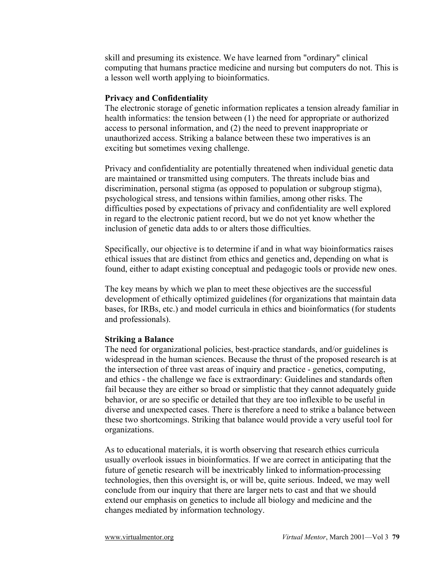skill and presuming its existence. We have learned from "ordinary" clinical computing that humans practice medicine and nursing but computers do not. This is a lesson well worth applying to bioinformatics.

#### **Privacy and Confidentiality**

The electronic storage of genetic information replicates a tension already familiar in health informatics: the tension between (1) the need for appropriate or authorized access to personal information, and (2) the need to prevent inappropriate or unauthorized access. Striking a balance between these two imperatives is an exciting but sometimes vexing challenge.

Privacy and confidentiality are potentially threatened when individual genetic data are maintained or transmitted using computers. The threats include bias and discrimination, personal stigma (as opposed to population or subgroup stigma), psychological stress, and tensions within families, among other risks. The difficulties posed by expectations of privacy and confidentiality are well explored in regard to the electronic patient record, but we do not yet know whether the inclusion of genetic data adds to or alters those difficulties.

Specifically, our objective is to determine if and in what way bioinformatics raises ethical issues that are distinct from ethics and genetics and, depending on what is found, either to adapt existing conceptual and pedagogic tools or provide new ones.

The key means by which we plan to meet these objectives are the successful development of ethically optimized guidelines (for organizations that maintain data bases, for IRBs, etc.) and model curricula in ethics and bioinformatics (for students and professionals).

#### **Striking a Balance**

The need for organizational policies, best-practice standards, and/or guidelines is widespread in the human sciences. Because the thrust of the proposed research is at the intersection of three vast areas of inquiry and practice - genetics, computing, and ethics - the challenge we face is extraordinary: Guidelines and standards often fail because they are either so broad or simplistic that they cannot adequately guide behavior, or are so specific or detailed that they are too inflexible to be useful in diverse and unexpected cases. There is therefore a need to strike a balance between these two shortcomings. Striking that balance would provide a very useful tool for organizations.

As to educational materials, it is worth observing that research ethics curricula usually overlook issues in bioinformatics. If we are correct in anticipating that the future of genetic research will be inextricably linked to information-processing technologies, then this oversight is, or will be, quite serious. Indeed, we may well conclude from our inquiry that there are larger nets to cast and that we should extend our emphasis on genetics to include all biology and medicine and the changes mediated by information technology.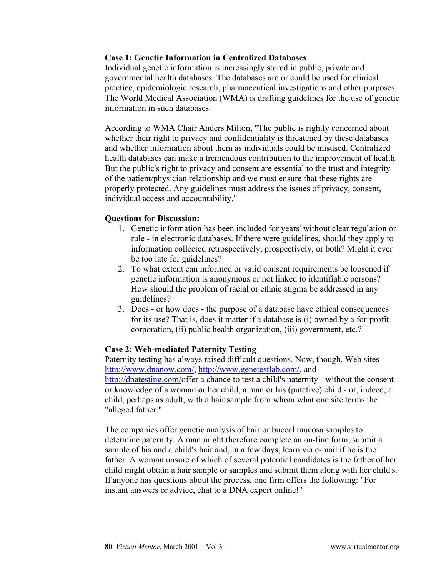### **Case 1: Genetic Information in Centralized Databases**

Individual genetic information is increasingly stored in public, private and governmental health databases. The databases are or could be used for clinical practice, epidemiologic research, pharmaceutical investigations and other purposes. The World Medical Association (WMA) is drafting guidelines for the use of genetic information in such databases.

According to WMA Chair Anders Milton, "The public is rightly concerned about whether their right to privacy and confidentiality is threatened by these databases and whether information about them as individuals could be misused. Centralized health databases can make a tremendous contribution to the improvement of health. But the public's right to privacy and consent are essential to the trust and integrity of the patient/physician relationship and we must ensure that these rights are properly protected. Any guidelines must address the issues of privacy, consent, individual access and accountability."

## **Questions for Discussion:**

- 1. Genetic information has been included for years' without clear regulation or rule - in electronic databases. If there were guidelines, should they apply to information collected retrospectively, prospectively, or both? Might it ever be too late for guidelines?
- 2. To what extent can informed or valid consent requirements be loosened if genetic information is anonymous or not linked to identifiable persons? How should the problem of racial or ethnic stigma be addressed in any guidelines?
- 3. Does or how does the purpose of a database have ethical consequences for its use? That is, does it matter if a database is (i) owned by a for-profit corporation, (ii) public health organization, (iii) government, etc.?

# **Case 2: Web-mediated Paternity Testing**

Paternity testing has always raised difficult questions. Now, though, Web sites [http://www.dnanow.com/,](http://www.dnanow.com/) [http://www.genetestlab.com/,](http://www.genetestlab.com/) and [http://dnatesting.com/o](http://dnatesting.com/)ffer a chance to test a child's paternity - without the consent or knowledge of a woman or her child, a man or his (putative) child - or, indeed, a child, perhaps as adult, with a hair sample from whom what one site terms the "alleged father."

The companies offer genetic analysis of hair or buccal mucosa samples to determine paternity. A man might therefore complete an on-line form, submit a sample of his and a child's hair and, in a few days, learn via e-mail if he is the father. A woman unsure of which of several potential candidates is the father of her child might obtain a hair sample or samples and submit them along with her child's. If anyone has questions about the process, one firm offers the following: "For instant answers or advice, chat to a DNA expert online!"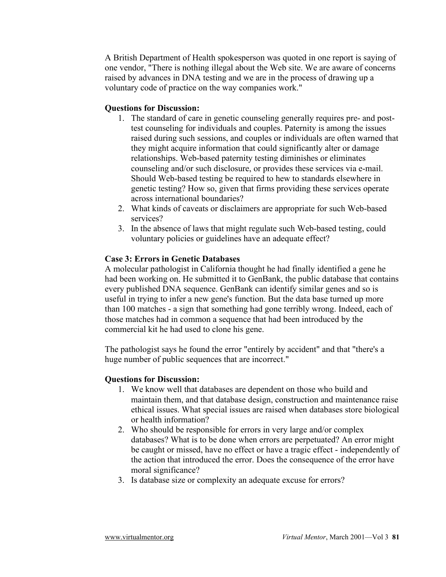A British Department of Health spokesperson was quoted in one report is saying of one vendor, "There is nothing illegal about the Web site. We are aware of concerns raised by advances in DNA testing and we are in the process of drawing up a voluntary code of practice on the way companies work."

# **Questions for Discussion:**

- 1. The standard of care in genetic counseling generally requires pre- and posttest counseling for individuals and couples. Paternity is among the issues raised during such sessions, and couples or individuals are often warned that they might acquire information that could significantly alter or damage relationships. Web-based paternity testing diminishes or eliminates counseling and/or such disclosure, or provides these services via e-mail. Should Web-based testing be required to hew to standards elsewhere in genetic testing? How so, given that firms providing these services operate across international boundaries?
- 2. What kinds of caveats or disclaimers are appropriate for such Web-based services?
- 3. In the absence of laws that might regulate such Web-based testing, could voluntary policies or guidelines have an adequate effect?

## **Case 3: Errors in Genetic Databases**

A molecular pathologist in California thought he had finally identified a gene he had been working on. He submitted it to GenBank, the public database that contains every published DNA sequence. GenBank can identify similar genes and so is useful in trying to infer a new gene's function. But the data base turned up more than 100 matches - a sign that something had gone terribly wrong. Indeed, each of those matches had in common a sequence that had been introduced by the commercial kit he had used to clone his gene.

The pathologist says he found the error "entirely by accident" and that "there's a huge number of public sequences that are incorrect."

# **Questions for Discussion:**

- 1. We know well that databases are dependent on those who build and maintain them, and that database design, construction and maintenance raise ethical issues. What special issues are raised when databases store biological or health information?
- 2. Who should be responsible for errors in very large and/or complex databases? What is to be done when errors are perpetuated? An error might be caught or missed, have no effect or have a tragic effect - independently of the action that introduced the error. Does the consequence of the error have moral significance?
- 3. Is database size or complexity an adequate excuse for errors?